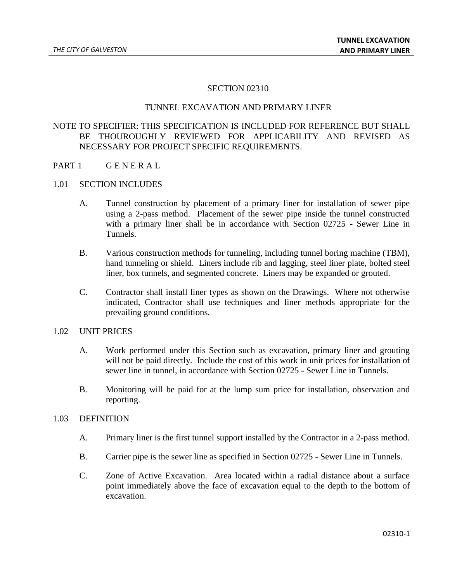### SECTION 02310

### TUNNEL EXCAVATION AND PRIMARY LINER

# NOTE TO SPECIFIER: THIS SPECIFICATION IS INCLUDED FOR REFERENCE BUT SHALL BE THOUROUGHLY REVIEWED FOR APPLICABILITY AND REVISED AS NECESSARY FOR PROJECT SPECIFIC REQUIREMENTS.

PART 1 GENERAL

#### 1.01 SECTION INCLUDES

- A. Tunnel construction by placement of a primary liner for installation of sewer pipe using a 2-pass method. Placement of the sewer pipe inside the tunnel constructed with a primary liner shall be in accordance with Section 02725 - Sewer Line in Tunnels.
- B. Various construction methods for tunneling, including tunnel boring machine (TBM), hand tunneling or shield. Liners include rib and lagging, steel liner plate, bolted steel liner, box tunnels, and segmented concrete. Liners may be expanded or grouted.
- C. Contractor shall install liner types as shown on the Drawings. Where not otherwise indicated, Contractor shall use techniques and liner methods appropriate for the prevailing ground conditions.

### 1.02 UNIT PRICES

- A. Work performed under this Section such as excavation, primary liner and grouting will not be paid directly. Include the cost of this work in unit prices for installation of sewer line in tunnel, in accordance with Section 02725 - Sewer Line in Tunnels.
- B. Monitoring will be paid for at the lump sum price for installation, observation and reporting.

### 1.03 DEFINITION

- A. Primary liner is the first tunnel support installed by the Contractor in a 2-pass method.
- B. Carrier pipe is the sewer line as specified in Section 02725 Sewer Line in Tunnels.
- C. Zone of Active Excavation. Area located within a radial distance about a surface point immediately above the face of excavation equal to the depth to the bottom of excavation.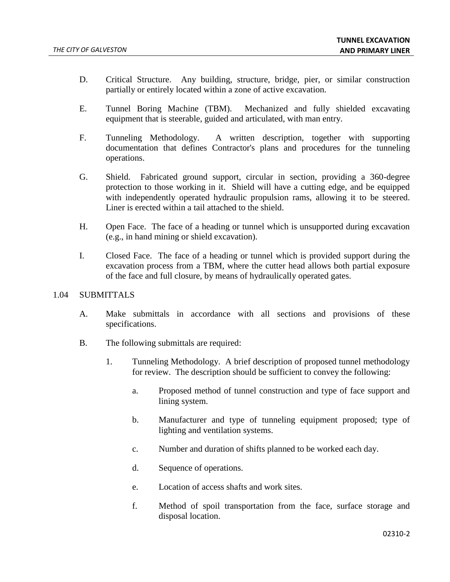- D. Critical Structure. Any building, structure, bridge, pier, or similar construction partially or entirely located within a zone of active excavation.
- E. Tunnel Boring Machine (TBM). Mechanized and fully shielded excavating equipment that is steerable, guided and articulated, with man entry.
- F. Tunneling Methodology. A written description, together with supporting documentation that defines Contractor's plans and procedures for the tunneling operations.
- G. Shield. Fabricated ground support, circular in section, providing a 360-degree protection to those working in it. Shield will have a cutting edge, and be equipped with independently operated hydraulic propulsion rams, allowing it to be steered. Liner is erected within a tail attached to the shield.
- H. Open Face. The face of a heading or tunnel which is unsupported during excavation (e.g., in hand mining or shield excavation).
- I. Closed Face. The face of a heading or tunnel which is provided support during the excavation process from a TBM, where the cutter head allows both partial exposure of the face and full closure, by means of hydraulically operated gates.

### 1.04 SUBMITTALS

- A. Make submittals in accordance with all sections and provisions of these specifications.
- B. The following submittals are required:
	- 1. Tunneling Methodology. A brief description of proposed tunnel methodology for review. The description should be sufficient to convey the following:
		- a. Proposed method of tunnel construction and type of face support and lining system.
		- b. Manufacturer and type of tunneling equipment proposed; type of lighting and ventilation systems.
		- c. Number and duration of shifts planned to be worked each day.
		- d. Sequence of operations.
		- e. Location of access shafts and work sites.
		- f. Method of spoil transportation from the face, surface storage and disposal location.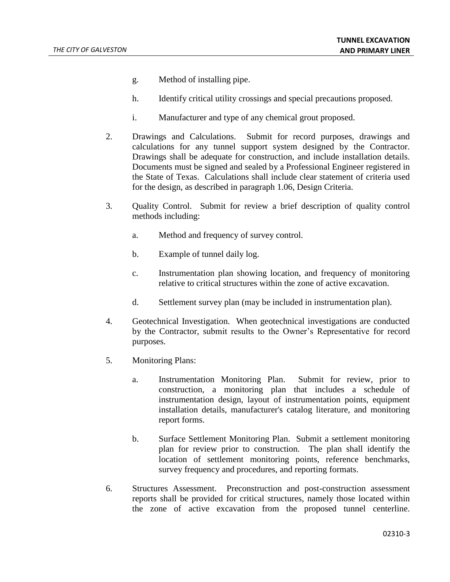- g. Method of installing pipe.
- h. Identify critical utility crossings and special precautions proposed.
- i. Manufacturer and type of any chemical grout proposed.
- 2. Drawings and Calculations. Submit for record purposes, drawings and calculations for any tunnel support system designed by the Contractor. Drawings shall be adequate for construction, and include installation details. Documents must be signed and sealed by a Professional Engineer registered in the State of Texas. Calculations shall include clear statement of criteria used for the design, as described in paragraph 1.06, Design Criteria.
- 3. Quality Control. Submit for review a brief description of quality control methods including:
	- a. Method and frequency of survey control.
	- b. Example of tunnel daily log.
	- c. Instrumentation plan showing location, and frequency of monitoring relative to critical structures within the zone of active excavation.
	- d. Settlement survey plan (may be included in instrumentation plan).
- 4. Geotechnical Investigation. When geotechnical investigations are conducted by the Contractor, submit results to the Owner's Representative for record purposes.
- 5. Monitoring Plans:
	- a. Instrumentation Monitoring Plan. Submit for review, prior to construction, a monitoring plan that includes a schedule of instrumentation design, layout of instrumentation points, equipment installation details, manufacturer's catalog literature, and monitoring report forms.
	- b. Surface Settlement Monitoring Plan. Submit a settlement monitoring plan for review prior to construction. The plan shall identify the location of settlement monitoring points, reference benchmarks, survey frequency and procedures, and reporting formats.
- 6. Structures Assessment. Preconstruction and post-construction assessment reports shall be provided for critical structures, namely those located within the zone of active excavation from the proposed tunnel centerline.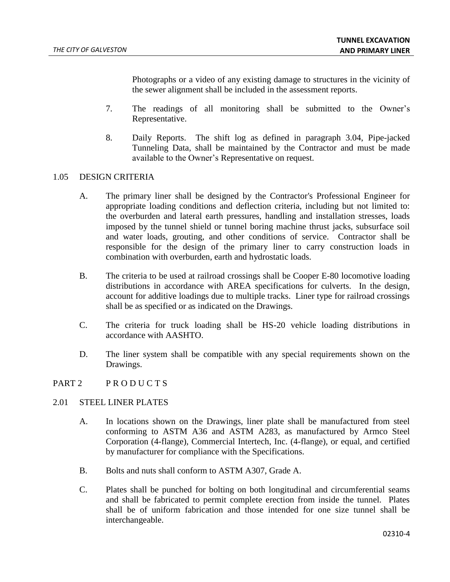Photographs or a video of any existing damage to structures in the vicinity of the sewer alignment shall be included in the assessment reports.

- 7. The readings of all monitoring shall be submitted to the Owner's Representative.
- 8. Daily Reports. The shift log as defined in paragraph 3.04, Pipe-jacked Tunneling Data, shall be maintained by the Contractor and must be made available to the Owner's Representative on request.

### 1.05 DESIGN CRITERIA

- A. The primary liner shall be designed by the Contractor's Professional Engineer for appropriate loading conditions and deflection criteria, including but not limited to: the overburden and lateral earth pressures, handling and installation stresses, loads imposed by the tunnel shield or tunnel boring machine thrust jacks, subsurface soil and water loads, grouting, and other conditions of service. Contractor shall be responsible for the design of the primary liner to carry construction loads in combination with overburden, earth and hydrostatic loads.
- B. The criteria to be used at railroad crossings shall be Cooper E-80 locomotive loading distributions in accordance with AREA specifications for culverts. In the design, account for additive loadings due to multiple tracks. Liner type for railroad crossings shall be as specified or as indicated on the Drawings.
- C. The criteria for truck loading shall be HS-20 vehicle loading distributions in accordance with AASHTO.
- D. The liner system shall be compatible with any special requirements shown on the Drawings.

### PART 2 PRODUCTS

### 2.01 STEEL LINER PLATES

- A. In locations shown on the Drawings, liner plate shall be manufactured from steel conforming to ASTM A36 and ASTM A283, as manufactured by Armco Steel Corporation (4-flange), Commercial Intertech, Inc. (4-flange), or equal, and certified by manufacturer for compliance with the Specifications.
- B. Bolts and nuts shall conform to ASTM A307, Grade A.
- C. Plates shall be punched for bolting on both longitudinal and circumferential seams and shall be fabricated to permit complete erection from inside the tunnel. Plates shall be of uniform fabrication and those intended for one size tunnel shall be interchangeable.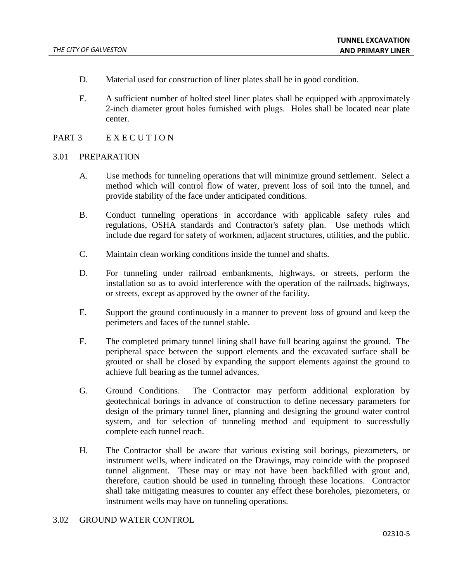- D. Material used for construction of liner plates shall be in good condition.
- E. A sufficient number of bolted steel liner plates shall be equipped with approximately 2-inch diameter grout holes furnished with plugs. Holes shall be located near plate center.

## PART 3 EXECUTION

#### 3.01 PREPARATION

- A. Use methods for tunneling operations that will minimize ground settlement. Select a method which will control flow of water, prevent loss of soil into the tunnel, and provide stability of the face under anticipated conditions.
- B. Conduct tunneling operations in accordance with applicable safety rules and regulations, OSHA standards and Contractor's safety plan. Use methods which include due regard for safety of workmen, adjacent structures, utilities, and the public.
- C. Maintain clean working conditions inside the tunnel and shafts.
- D. For tunneling under railroad embankments, highways, or streets, perform the installation so as to avoid interference with the operation of the railroads, highways, or streets, except as approved by the owner of the facility.
- E. Support the ground continuously in a manner to prevent loss of ground and keep the perimeters and faces of the tunnel stable.
- F. The completed primary tunnel lining shall have full bearing against the ground. The peripheral space between the support elements and the excavated surface shall be grouted or shall be closed by expanding the support elements against the ground to achieve full bearing as the tunnel advances.
- G. Ground Conditions. The Contractor may perform additional exploration by geotechnical borings in advance of construction to define necessary parameters for design of the primary tunnel liner, planning and designing the ground water control system, and for selection of tunneling method and equipment to successfully complete each tunnel reach.
- H. The Contractor shall be aware that various existing soil borings, piezometers, or instrument wells, where indicated on the Drawings, may coincide with the proposed tunnel alignment. These may or may not have been backfilled with grout and, therefore, caution should be used in tunneling through these locations. Contractor shall take mitigating measures to counter any effect these boreholes, piezometers, or instrument wells may have on tunneling operations.

### 3.02 GROUND WATER CONTROL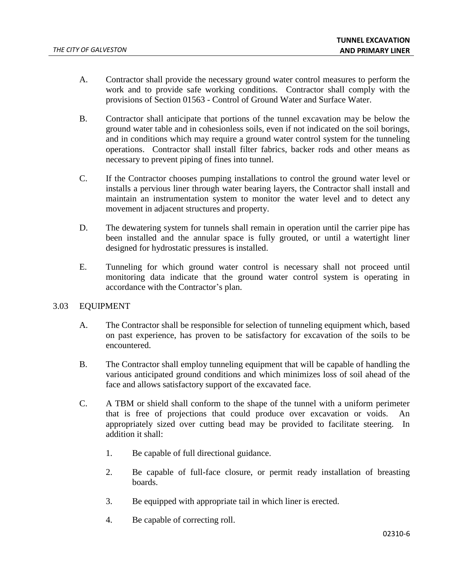- A. Contractor shall provide the necessary ground water control measures to perform the work and to provide safe working conditions. Contractor shall comply with the provisions of Section 01563 - Control of Ground Water and Surface Water.
- B. Contractor shall anticipate that portions of the tunnel excavation may be below the ground water table and in cohesionless soils, even if not indicated on the soil borings, and in conditions which may require a ground water control system for the tunneling operations. Contractor shall install filter fabrics, backer rods and other means as necessary to prevent piping of fines into tunnel.
- C. If the Contractor chooses pumping installations to control the ground water level or installs a pervious liner through water bearing layers, the Contractor shall install and maintain an instrumentation system to monitor the water level and to detect any movement in adjacent structures and property.
- D. The dewatering system for tunnels shall remain in operation until the carrier pipe has been installed and the annular space is fully grouted, or until a watertight liner designed for hydrostatic pressures is installed.
- E. Tunneling for which ground water control is necessary shall not proceed until monitoring data indicate that the ground water control system is operating in accordance with the Contractor's plan.

### 3.03 EQUIPMENT

- A. The Contractor shall be responsible for selection of tunneling equipment which, based on past experience, has proven to be satisfactory for excavation of the soils to be encountered.
- B. The Contractor shall employ tunneling equipment that will be capable of handling the various anticipated ground conditions and which minimizes loss of soil ahead of the face and allows satisfactory support of the excavated face.
- C. A TBM or shield shall conform to the shape of the tunnel with a uniform perimeter that is free of projections that could produce over excavation or voids. An appropriately sized over cutting bead may be provided to facilitate steering. In addition it shall:
	- 1. Be capable of full directional guidance.
	- 2. Be capable of full-face closure, or permit ready installation of breasting boards.
	- 3. Be equipped with appropriate tail in which liner is erected.
	- 4. Be capable of correcting roll.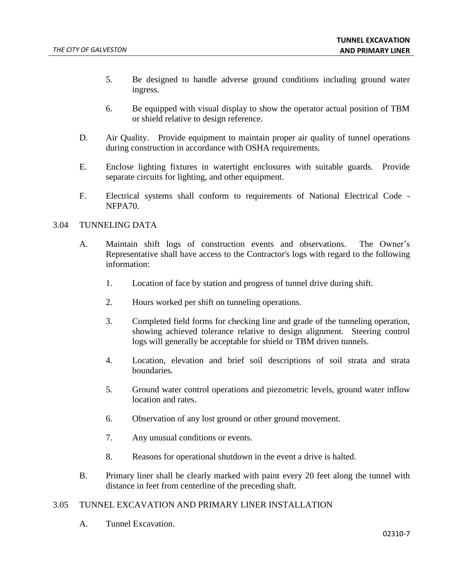- 5. Be designed to handle adverse ground conditions including ground water ingress.
- 6. Be equipped with visual display to show the operator actual position of TBM or shield relative to design reference.
- D. Air Quality. Provide equipment to maintain proper air quality of tunnel operations during construction in accordance with OSHA requirements.
- E. Enclose lighting fixtures in watertight enclosures with suitable guards. Provide separate circuits for lighting, and other equipment.
- F. Electrical systems shall conform to requirements of National Electrical Code NFPA70.

## 3.04 TUNNELING DATA

- A. Maintain shift logs of construction events and observations. The Owner's Representative shall have access to the Contractor's logs with regard to the following information:
	- 1. Location of face by station and progress of tunnel drive during shift.
	- 2. Hours worked per shift on tunneling operations.
	- 3. Completed field forms for checking line and grade of the tunneling operation, showing achieved tolerance relative to design alignment. Steering control logs will generally be acceptable for shield or TBM driven tunnels.
	- 4. Location, elevation and brief soil descriptions of soil strata and strata boundaries.
	- 5. Ground water control operations and piezometric levels, ground water inflow location and rates.
	- 6. Observation of any lost ground or other ground movement.
	- 7. Any unusual conditions or events.
	- 8. Reasons for operational shutdown in the event a drive is halted.
- B. Primary liner shall be clearly marked with paint every 20 feet along the tunnel with distance in feet from centerline of the preceding shaft.

# 3.05 TUNNEL EXCAVATION AND PRIMARY LINER INSTALLATION

A. Tunnel Excavation.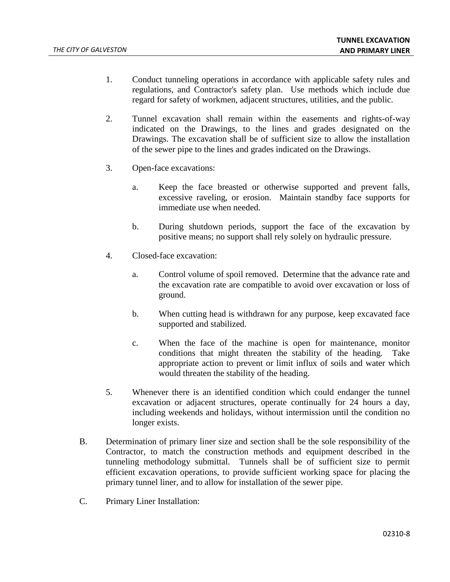- 1. Conduct tunneling operations in accordance with applicable safety rules and regulations, and Contractor's safety plan. Use methods which include due regard for safety of workmen, adjacent structures, utilities, and the public.
- 2. Tunnel excavation shall remain within the easements and rights-of-way indicated on the Drawings, to the lines and grades designated on the Drawings. The excavation shall be of sufficient size to allow the installation of the sewer pipe to the lines and grades indicated on the Drawings.
- 3. Open-face excavations:
	- a. Keep the face breasted or otherwise supported and prevent falls, excessive raveling, or erosion. Maintain standby face supports for immediate use when needed.
	- b. During shutdown periods, support the face of the excavation by positive means; no support shall rely solely on hydraulic pressure.
- 4. Closed-face excavation:
	- a. Control volume of spoil removed. Determine that the advance rate and the excavation rate are compatible to avoid over excavation or loss of ground.
	- b. When cutting head is withdrawn for any purpose, keep excavated face supported and stabilized.
	- c. When the face of the machine is open for maintenance, monitor conditions that might threaten the stability of the heading. Take appropriate action to prevent or limit influx of soils and water which would threaten the stability of the heading.
- 5. Whenever there is an identified condition which could endanger the tunnel excavation or adjacent structures, operate continually for 24 hours a day, including weekends and holidays, without intermission until the condition no longer exists.
- B. Determination of primary liner size and section shall be the sole responsibility of the Contractor, to match the construction methods and equipment described in the tunneling methodology submittal. Tunnels shall be of sufficient size to permit efficient excavation operations, to provide sufficient working space for placing the primary tunnel liner, and to allow for installation of the sewer pipe.
- C. Primary Liner Installation: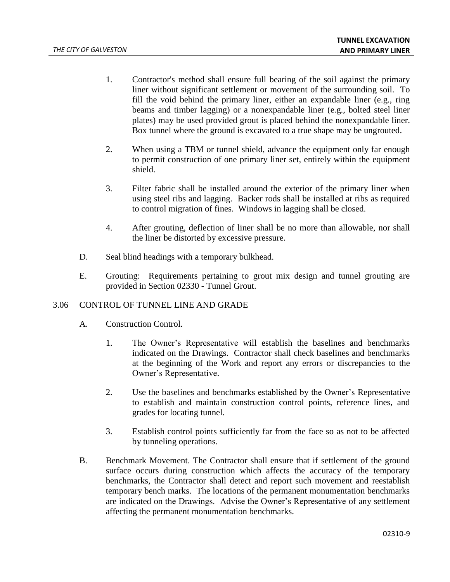- 1. Contractor's method shall ensure full bearing of the soil against the primary liner without significant settlement or movement of the surrounding soil. To fill the void behind the primary liner, either an expandable liner (e.g., ring beams and timber lagging) or a nonexpandable liner (e.g., bolted steel liner plates) may be used provided grout is placed behind the nonexpandable liner. Box tunnel where the ground is excavated to a true shape may be ungrouted.
- 2. When using a TBM or tunnel shield, advance the equipment only far enough to permit construction of one primary liner set, entirely within the equipment shield.
- 3. Filter fabric shall be installed around the exterior of the primary liner when using steel ribs and lagging. Backer rods shall be installed at ribs as required to control migration of fines. Windows in lagging shall be closed.
- 4. After grouting, deflection of liner shall be no more than allowable, nor shall the liner be distorted by excessive pressure.
- D. Seal blind headings with a temporary bulkhead.
- E. Grouting: Requirements pertaining to grout mix design and tunnel grouting are provided in Section 02330 - Tunnel Grout.

# 3.06 CONTROL OF TUNNEL LINE AND GRADE

- A. Construction Control.
	- 1. The Owner's Representative will establish the baselines and benchmarks indicated on the Drawings. Contractor shall check baselines and benchmarks at the beginning of the Work and report any errors or discrepancies to the Owner's Representative.
	- 2. Use the baselines and benchmarks established by the Owner's Representative to establish and maintain construction control points, reference lines, and grades for locating tunnel.
	- 3. Establish control points sufficiently far from the face so as not to be affected by tunneling operations.
- B. Benchmark Movement. The Contractor shall ensure that if settlement of the ground surface occurs during construction which affects the accuracy of the temporary benchmarks, the Contractor shall detect and report such movement and reestablish temporary bench marks. The locations of the permanent monumentation benchmarks are indicated on the Drawings. Advise the Owner's Representative of any settlement affecting the permanent monumentation benchmarks.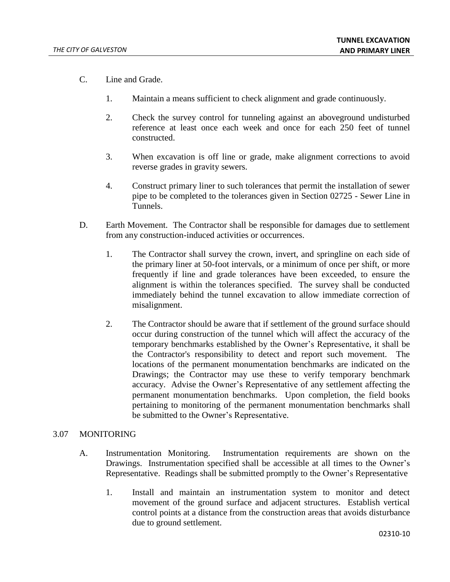- C. Line and Grade.
	- 1. Maintain a means sufficient to check alignment and grade continuously.
	- 2. Check the survey control for tunneling against an aboveground undisturbed reference at least once each week and once for each 250 feet of tunnel constructed.
	- 3. When excavation is off line or grade, make alignment corrections to avoid reverse grades in gravity sewers.
	- 4. Construct primary liner to such tolerances that permit the installation of sewer pipe to be completed to the tolerances given in Section 02725 - Sewer Line in Tunnels.
- D. Earth Movement. The Contractor shall be responsible for damages due to settlement from any construction-induced activities or occurrences.
	- 1. The Contractor shall survey the crown, invert, and springline on each side of the primary liner at 50-foot intervals, or a minimum of once per shift, or more frequently if line and grade tolerances have been exceeded, to ensure the alignment is within the tolerances specified. The survey shall be conducted immediately behind the tunnel excavation to allow immediate correction of misalignment.
	- 2. The Contractor should be aware that if settlement of the ground surface should occur during construction of the tunnel which will affect the accuracy of the temporary benchmarks established by the Owner's Representative, it shall be the Contractor's responsibility to detect and report such movement. The locations of the permanent monumentation benchmarks are indicated on the Drawings; the Contractor may use these to verify temporary benchmark accuracy. Advise the Owner's Representative of any settlement affecting the permanent monumentation benchmarks. Upon completion, the field books pertaining to monitoring of the permanent monumentation benchmarks shall be submitted to the Owner's Representative.

## 3.07 MONITORING

- A. Instrumentation Monitoring. Instrumentation requirements are shown on the Drawings. Instrumentation specified shall be accessible at all times to the Owner's Representative. Readings shall be submitted promptly to the Owner's Representative
	- 1. Install and maintain an instrumentation system to monitor and detect movement of the ground surface and adjacent structures. Establish vertical control points at a distance from the construction areas that avoids disturbance due to ground settlement.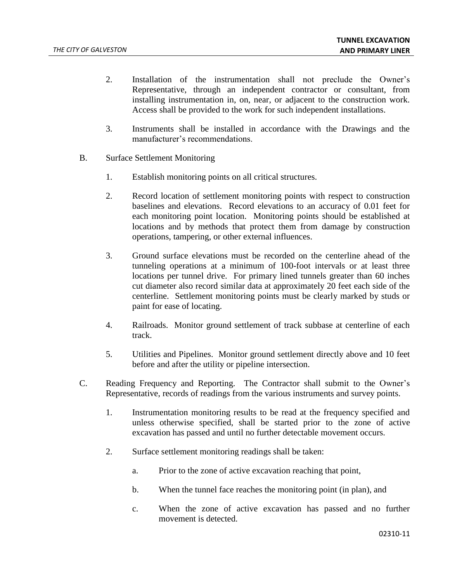- 2. Installation of the instrumentation shall not preclude the Owner's Representative, through an independent contractor or consultant, from installing instrumentation in, on, near, or adjacent to the construction work. Access shall be provided to the work for such independent installations.
- 3. Instruments shall be installed in accordance with the Drawings and the manufacturer's recommendations.
- B. Surface Settlement Monitoring
	- 1. Establish monitoring points on all critical structures.
	- 2. Record location of settlement monitoring points with respect to construction baselines and elevations. Record elevations to an accuracy of 0.01 feet for each monitoring point location. Monitoring points should be established at locations and by methods that protect them from damage by construction operations, tampering, or other external influences.
	- 3. Ground surface elevations must be recorded on the centerline ahead of the tunneling operations at a minimum of 100-foot intervals or at least three locations per tunnel drive. For primary lined tunnels greater than 60 inches cut diameter also record similar data at approximately 20 feet each side of the centerline. Settlement monitoring points must be clearly marked by studs or paint for ease of locating.
	- 4. Railroads. Monitor ground settlement of track subbase at centerline of each track.
	- 5. Utilities and Pipelines. Monitor ground settlement directly above and 10 feet before and after the utility or pipeline intersection.
- C. Reading Frequency and Reporting. The Contractor shall submit to the Owner's Representative, records of readings from the various instruments and survey points.
	- 1. Instrumentation monitoring results to be read at the frequency specified and unless otherwise specified, shall be started prior to the zone of active excavation has passed and until no further detectable movement occurs.
	- 2. Surface settlement monitoring readings shall be taken:
		- a. Prior to the zone of active excavation reaching that point,
		- b. When the tunnel face reaches the monitoring point (in plan), and
		- c. When the zone of active excavation has passed and no further movement is detected.